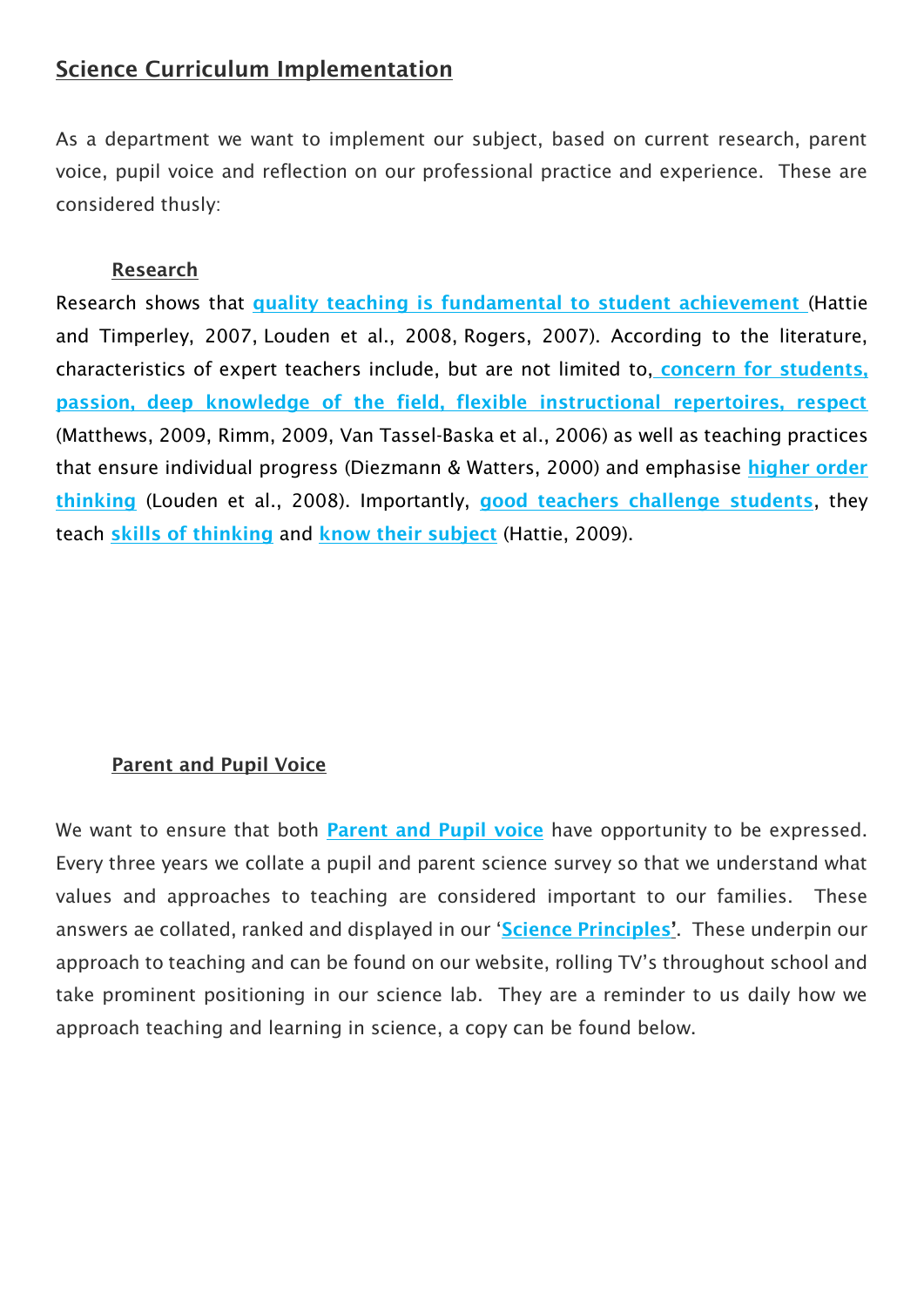# Science Curriculum Implementation

As a department we want to implement our subject, based on current research, parent voice, pupil voice and reflection on our professional practice and experience. These are considered thusly:

### Research

Research shows that quality teaching is fundamental to student achievement [\(Hattie](https://www.sciencedirect.com/science/article/pii/S1871187114000662#bib0110)  [and Timperley, 2007,](https://www.sciencedirect.com/science/article/pii/S1871187114000662#bib0110) [Louden et al., 2008,](https://www.sciencedirect.com/science/article/pii/S1871187114000662#bib0125) [Rogers, 2007\)](https://www.sciencedirect.com/science/article/pii/S1871187114000662#bib0185). According to the literature, characteristics of expert teachers include, but are not limited to, concern for students, passion, deep knowledge of the field, flexible instructional repertoires, respect [\(Matthews, 2009,](https://www.sciencedirect.com/science/article/pii/S1871187114000662#bib0140) [Rimm, 2009,](https://www.sciencedirect.com/science/article/pii/S1871187114000662#bib0180) [Van Tassel-Baska et al., 2006\)](https://www.sciencedirect.com/science/article/pii/S1871187114000662#bib0225) as well as teaching practices that ensure individual progress [\(Diezmann & Watters, 2000\)](https://www.sciencedirect.com/science/article/pii/S1871187114000662#bib0065) and emphasise higher order thinking [\(Louden et al., 2008\)](https://www.sciencedirect.com/science/article/pii/S1871187114000662#bib0125). Importantly, good teachers challenge students, they teach skills of thinking and know their subject [\(Hattie, 2009\)](https://www.sciencedirect.com/science/article/pii/S1871187114000662#bib0105).

#### Parent and Pupil Voice

We want to ensure that both **Parent and Pupil voice** have opportunity to be expressed. Every three years we collate a pupil and parent science survey so that we understand what values and approaches to teaching are considered important to our families. These answers ae collated, ranked and displayed in our 'Science Principles'. These underpin our approach to teaching and can be found on our website, rolling TV's throughout school and take prominent positioning in our science lab. They are a reminder to us daily how we approach teaching and learning in science, a copy can be found below.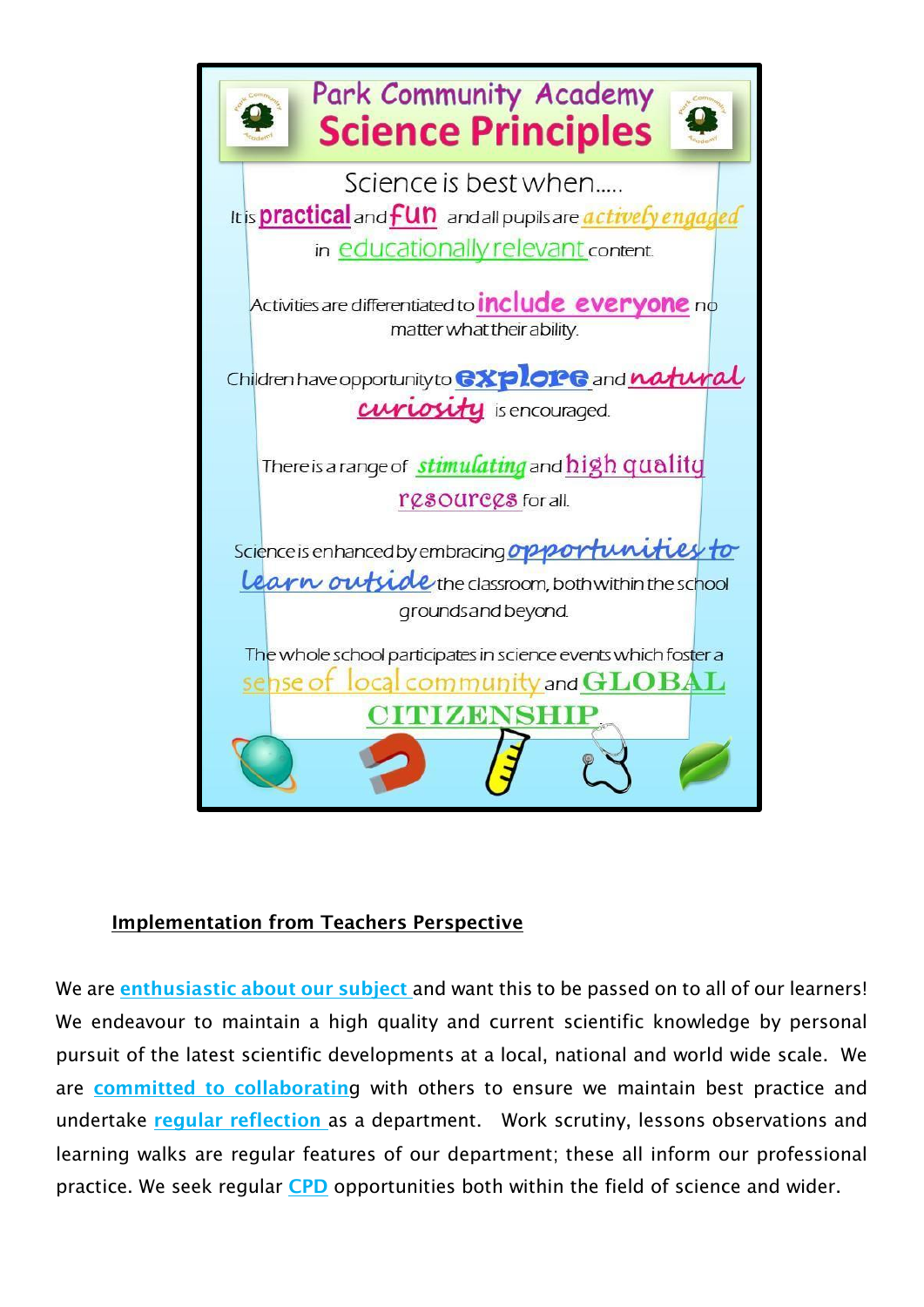

### Implementation from Teachers Perspective

We are enthusiastic about our subject and want this to be passed on to all of our learners! We endeavour to maintain a high quality and current scientific knowledge by personal pursuit of the latest scientific developments at a local, national and world wide scale. We are committed to collaborating with others to ensure we maintain best practice and undertake regular reflection as a department. Work scrutiny, lessons observations and learning walks are regular features of our department; these all inform our professional practice. We seek regular CPD opportunities both within the field of science and wider.